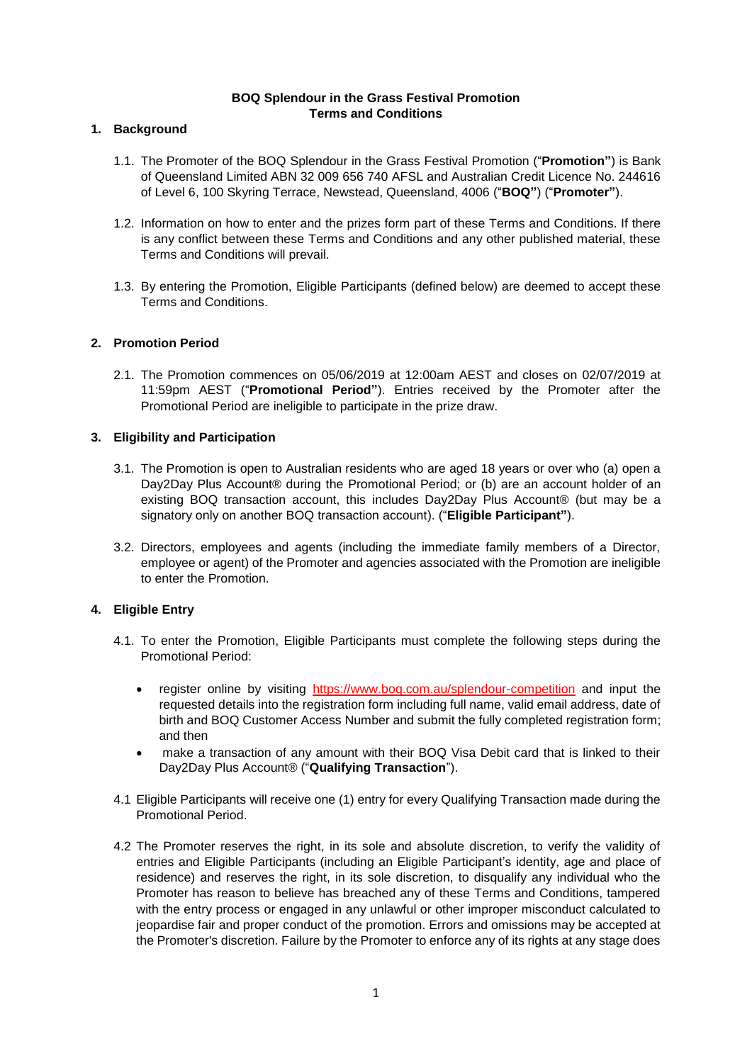### **BOQ Splendour in the Grass Festival Promotion Terms and Conditions**

# **1. Background**

- 1.1. The Promoter of the BOQ Splendour in the Grass Festival Promotion ("**Promotion"**) is Bank of Queensland Limited ABN 32 009 656 740 AFSL and Australian Credit Licence No. 244616 of Level 6, 100 Skyring Terrace, Newstead, Queensland, 4006 ("**BOQ"**) ("**Promoter"**).
- 1.2. Information on how to enter and the prizes form part of these Terms and Conditions. If there is any conflict between these Terms and Conditions and any other published material, these Terms and Conditions will prevail.
- 1.3. By entering the Promotion, Eligible Participants (defined below) are deemed to accept these Terms and Conditions.

# **2. Promotion Period**

2.1. The Promotion commences on 05/06/2019 at 12:00am AEST and closes on 02/07/2019 at 11:59pm AEST ("**Promotional Period"**). Entries received by the Promoter after the Promotional Period are ineligible to participate in the prize draw.

# **3. Eligibility and Participation**

- 3.1. The Promotion is open to Australian residents who are aged 18 years or over who (a) open a Day2Day Plus Account® during the Promotional Period; or (b) are an account holder of an existing BOQ transaction account, this includes Day2Day Plus Account® (but may be a signatory only on another BOQ transaction account). ("**Eligible Participant"**).
- 3.2. Directors, employees and agents (including the immediate family members of a Director, employee or agent) of the Promoter and agencies associated with the Promotion are ineligible to enter the Promotion.

# **4. Eligible Entry**

- 4.1. To enter the Promotion, Eligible Participants must complete the following steps during the Promotional Period:
	- register online by visiting <https://www.boq.com.au/splendour-competition> and input the requested details into the registration form including full name, valid email address, date of birth and BOQ Customer Access Number and submit the fully completed registration form; and then
	- make a transaction of any amount with their BOQ Visa Debit card that is linked to their Day2Day Plus Account® ("**Qualifying Transaction**").
- 4.1 Eligible Participants will receive one (1) entry for every Qualifying Transaction made during the Promotional Period.
- 4.2 The Promoter reserves the right, in its sole and absolute discretion, to verify the validity of entries and Eligible Participants (including an Eligible Participant's identity, age and place of residence) and reserves the right, in its sole discretion, to disqualify any individual who the Promoter has reason to believe has breached any of these Terms and Conditions, tampered with the entry process or engaged in any unlawful or other improper misconduct calculated to jeopardise fair and proper conduct of the promotion. Errors and omissions may be accepted at the Promoter's discretion. Failure by the Promoter to enforce any of its rights at any stage does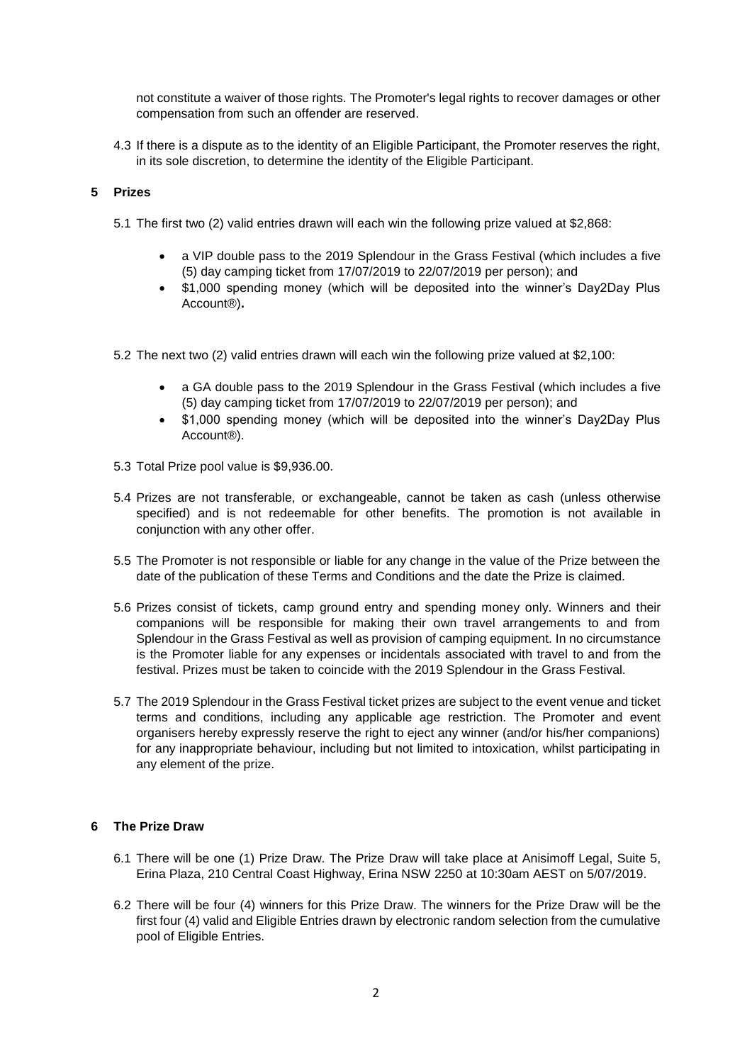not constitute a waiver of those rights. The Promoter's legal rights to recover damages or other compensation from such an offender are reserved.

4.3 If there is a dispute as to the identity of an Eligible Participant, the Promoter reserves the right, in its sole discretion, to determine the identity of the Eligible Participant.

### **5 Prizes**

- 5.1 The first two (2) valid entries drawn will each win the following prize valued at \$2,868:
	- a VIP double pass to the 2019 Splendour in the Grass Festival (which includes a five (5) day camping ticket from 17/07/2019 to 22/07/2019 per person); and
	- \$1,000 spending money (which will be deposited into the winner's Day2Day Plus Account®)**.**
- 5.2 The next two (2) valid entries drawn will each win the following prize valued at \$2,100:
	- a GA double pass to the 2019 Splendour in the Grass Festival (which includes a five (5) day camping ticket from 17/07/2019 to 22/07/2019 per person); and
	- \$1,000 spending money (which will be deposited into the winner's Day2Day Plus Account®).
- 5.3 Total Prize pool value is \$9,936.00.
- 5.4 Prizes are not transferable, or exchangeable, cannot be taken as cash (unless otherwise specified) and is not redeemable for other benefits. The promotion is not available in conjunction with any other offer.
- 5.5 The Promoter is not responsible or liable for any change in the value of the Prize between the date of the publication of these Terms and Conditions and the date the Prize is claimed.
- 5.6 Prizes consist of tickets, camp ground entry and spending money only. Winners and their companions will be responsible for making their own travel arrangements to and from Splendour in the Grass Festival as well as provision of camping equipment. In no circumstance is the Promoter liable for any expenses or incidentals associated with travel to and from the festival. Prizes must be taken to coincide with the 2019 Splendour in the Grass Festival.
- 5.7 The 2019 Splendour in the Grass Festival ticket prizes are subject to the event venue and ticket terms and conditions, including any applicable age restriction. The Promoter and event organisers hereby expressly reserve the right to eject any winner (and/or his/her companions) for any inappropriate behaviour, including but not limited to intoxication, whilst participating in any element of the prize.

### **6 The Prize Draw**

- 6.1 There will be one (1) Prize Draw. The Prize Draw will take place at Anisimoff Legal, Suite 5, Erina Plaza, 210 Central Coast Highway, Erina NSW 2250 at 10:30am AEST on 5/07/2019.
- 6.2 There will be four (4) winners for this Prize Draw. The winners for the Prize Draw will be the first four (4) valid and Eligible Entries drawn by electronic random selection from the cumulative pool of Eligible Entries.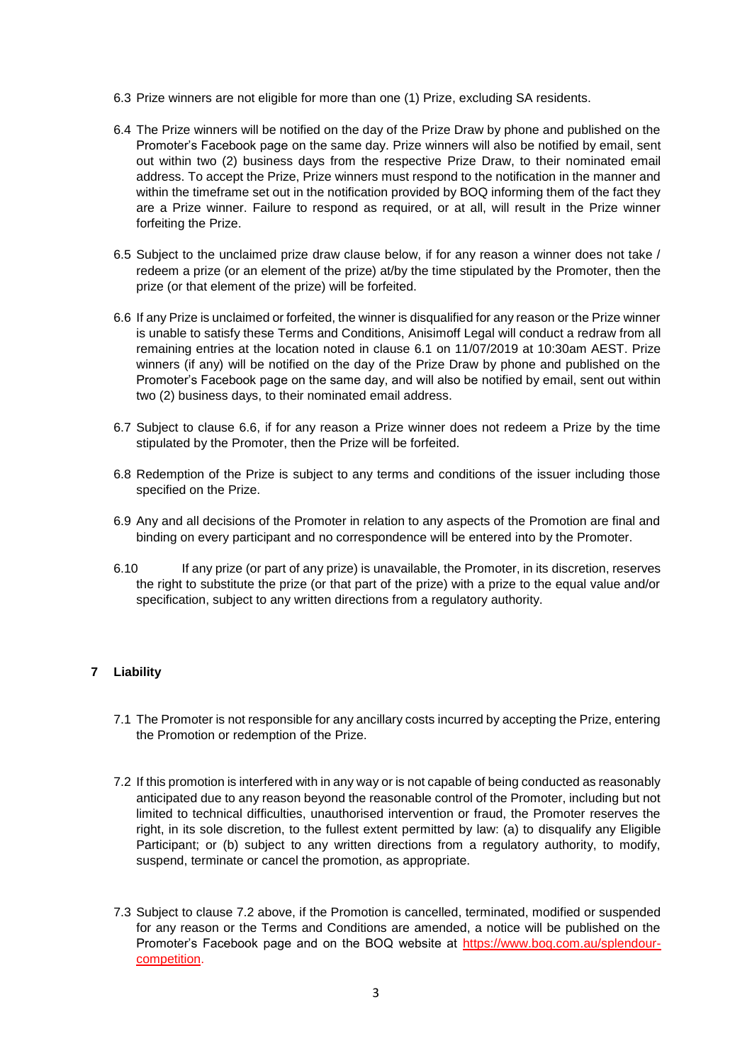- 6.3 Prize winners are not eligible for more than one (1) Prize, excluding SA residents.
- 6.4 The Prize winners will be notified on the day of the Prize Draw by phone and published on the Promoter's Facebook page on the same day. Prize winners will also be notified by email, sent out within two (2) business days from the respective Prize Draw, to their nominated email address. To accept the Prize, Prize winners must respond to the notification in the manner and within the timeframe set out in the notification provided by BOQ informing them of the fact they are a Prize winner. Failure to respond as required, or at all, will result in the Prize winner forfeiting the Prize.
- 6.5 Subject to the unclaimed prize draw clause below, if for any reason a winner does not take / redeem a prize (or an element of the prize) at/by the time stipulated by the Promoter, then the prize (or that element of the prize) will be forfeited.
- 6.6 If any Prize is unclaimed or forfeited, the winner is disqualified for any reason or the Prize winner is unable to satisfy these Terms and Conditions, Anisimoff Legal will conduct a redraw from all remaining entries at the location noted in clause 6.1 on 11/07/2019 at 10:30am AEST. Prize winners (if any) will be notified on the day of the Prize Draw by phone and published on the Promoter's Facebook page on the same day, and will also be notified by email, sent out within two (2) business days, to their nominated email address.
- 6.7 Subject to clause 6.6, if for any reason a Prize winner does not redeem a Prize by the time stipulated by the Promoter, then the Prize will be forfeited.
- 6.8 Redemption of the Prize is subject to any terms and conditions of the issuer including those specified on the Prize.
- 6.9 Any and all decisions of the Promoter in relation to any aspects of the Promotion are final and binding on every participant and no correspondence will be entered into by the Promoter.
- 6.10 If any prize (or part of any prize) is unavailable, the Promoter, in its discretion, reserves the right to substitute the prize (or that part of the prize) with a prize to the equal value and/or specification, subject to any written directions from a regulatory authority.

# **7 Liability**

- 7.1 The Promoter is not responsible for any ancillary costs incurred by accepting the Prize, entering the Promotion or redemption of the Prize.
- 7.2 If this promotion is interfered with in any way or is not capable of being conducted as reasonably anticipated due to any reason beyond the reasonable control of the Promoter, including but not limited to technical difficulties, unauthorised intervention or fraud, the Promoter reserves the right, in its sole discretion, to the fullest extent permitted by law: (a) to disqualify any Eligible Participant; or (b) subject to any written directions from a regulatory authority, to modify, suspend, terminate or cancel the promotion, as appropriate.
- 7.3 Subject to clause 7.2 above, if the Promotion is cancelled, terminated, modified or suspended for any reason or the Terms and Conditions are amended, a notice will be published on the Promoter's Facebook page and on the BOQ website at [https://www.boq.com.au/splendour](https://www.boq.com.au/splendour-competition)[competition.](https://www.boq.com.au/splendour-competition)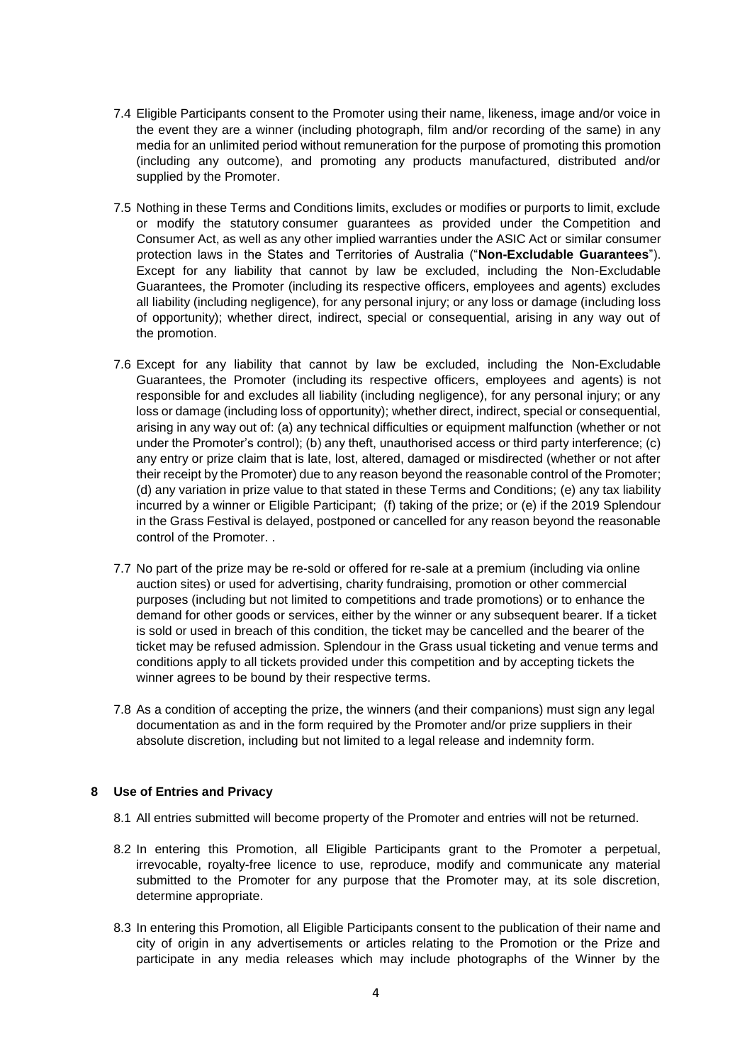- 7.4 Eligible Participants consent to the Promoter using their name, likeness, image and/or voice in the event they are a winner (including photograph, film and/or recording of the same) in any media for an unlimited period without remuneration for the purpose of promoting this promotion (including any outcome), and promoting any products manufactured, distributed and/or supplied by the Promoter.
- 7.5 Nothing in these Terms and Conditions limits, excludes or modifies or purports to limit, exclude or modify the statutory consumer guarantees as provided under the Competition and Consumer Act, as well as any other implied warranties under the ASIC Act or similar consumer protection laws in the States and Territories of Australia ("**Non-Excludable Guarantees**"). Except for any liability that cannot by law be excluded, including the Non-Excludable Guarantees, the Promoter (including its respective officers, employees and agents) excludes all liability (including negligence), for any personal injury; or any loss or damage (including loss of opportunity); whether direct, indirect, special or consequential, arising in any way out of the promotion.
- 7.6 Except for any liability that cannot by law be excluded, including the Non-Excludable Guarantees, the Promoter (including its respective officers, employees and agents) is not responsible for and excludes all liability (including negligence), for any personal injury; or any loss or damage (including loss of opportunity); whether direct, indirect, special or consequential, arising in any way out of: (a) any technical difficulties or equipment malfunction (whether or not under the Promoter's control); (b) any theft, unauthorised access or third party interference; (c) any entry or prize claim that is late, lost, altered, damaged or misdirected (whether or not after their receipt by the Promoter) due to any reason beyond the reasonable control of the Promoter; (d) any variation in prize value to that stated in these Terms and Conditions; (e) any tax liability incurred by a winner or Eligible Participant; (f) taking of the prize; or (e) if the 2019 Splendour in the Grass Festival is delayed, postponed or cancelled for any reason beyond the reasonable control of the Promoter. .
- 7.7 No part of the prize may be re-sold or offered for re-sale at a premium (including via online auction sites) or used for advertising, charity fundraising, promotion or other commercial purposes (including but not limited to competitions and trade promotions) or to enhance the demand for other goods or services, either by the winner or any subsequent bearer. If a ticket is sold or used in breach of this condition, the ticket may be cancelled and the bearer of the ticket may be refused admission. Splendour in the Grass usual ticketing and venue terms and conditions apply to all tickets provided under this competition and by accepting tickets the winner agrees to be bound by their respective terms.
- 7.8 As a condition of accepting the prize, the winners (and their companions) must sign any legal documentation as and in the form required by the Promoter and/or prize suppliers in their absolute discretion, including but not limited to a legal release and indemnity form.

#### **8 Use of Entries and Privacy**

- 8.1 All entries submitted will become property of the Promoter and entries will not be returned.
- 8.2 In entering this Promotion, all Eligible Participants grant to the Promoter a perpetual, irrevocable, royalty-free licence to use, reproduce, modify and communicate any material submitted to the Promoter for any purpose that the Promoter may, at its sole discretion, determine appropriate.
- 8.3 In entering this Promotion, all Eligible Participants consent to the publication of their name and city of origin in any advertisements or articles relating to the Promotion or the Prize and participate in any media releases which may include photographs of the Winner by the